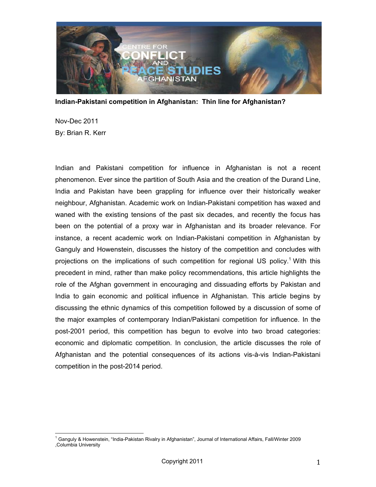

**Indian-Pakistani competition in Afghanistan: Thin line for Afghanistan?**

Nov-Dec 2011 By: Brian R. Kerr

Indian and Pakistani competition for influence in Afghanistan is not a recent phenomenon. Ever since the partition of South Asia and the creation of the Durand Line, India and Pakistan have been grappling for influence over their historically weaker neighbour, Afghanistan. Academic work on Indian-Pakistani competition has waxed and waned with the existing tensions of the past six decades, and recently the focus has been on the potential of a proxy war in Afghanistan and its broader relevance. For instance, a recent academic work on Indian-Pakistani competition in Afghanistan by Ganguly and Howenstein, discusses the history of the competition and concludes with projections on the implications of such competition for regional US policy.<sup>1</sup> With this precedent in mind, rather than make policy recommendations, this article highlights the role of the Afghan government in encouraging and dissuading efforts by Pakistan and India to gain economic and political influence in Afghanistan. This article begins by discussing the ethnic dynamics of this competition followed by a discussion of some of the major examples of contemporary Indian/Pakistani competition for influence. In the post-2001 period, this competition has begun to evolve into two broad categories: economic and diplomatic competition. In conclusion, the article discusses the role of Afghanistan and the potential consequences of its actions vis-à-vis Indian-Pakistani competition in the post-2014 period.

<sup>&</sup>lt;u>.</u><br><sup>1</sup> Ganguly & Howenstein, "India-Pakistan Rivalry in Afghanistan", Journal of International Affairs, Fall/Winter 2009 ,Columbia University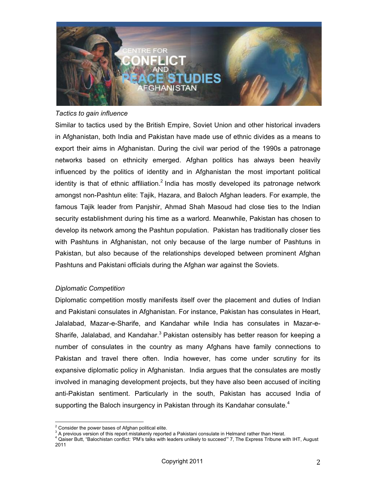

## *Tactics to gain influence*

Similar to tactics used by the British Empire, Soviet Union and other historical invaders in Afghanistan, both India and Pakistan have made use of ethnic divides as a means to export their aims in Afghanistan. During the civil war period of the 1990s a patronage networks based on ethnicity emerged. Afghan politics has always been heavily influenced by the politics of identity and in Afghanistan the most important political identity is that of ethnic affiliation.<sup>2</sup> India has mostly developed its patronage network amongst non-Pashtun elite: Tajik, Hazara, and Baloch Afghan leaders. For example, the famous Tajik leader from Panjshir, Ahmad Shah Masoud had close ties to the Indian security establishment during his time as a warlord. Meanwhile, Pakistan has chosen to develop its network among the Pashtun population. Pakistan has traditionally closer ties with Pashtuns in Afghanistan, not only because of the large number of Pashtuns in Pakistan, but also because of the relationships developed between prominent Afghan Pashtuns and Pakistani officials during the Afghan war against the Soviets.

## *Diplomatic Competition*

Diplomatic competition mostly manifests itself over the placement and duties of Indian and Pakistani consulates in Afghanistan. For instance, Pakistan has consulates in Heart, Jalalabad, Mazar-e-Sharife, and Kandahar while India has consulates in Mazar-e-Sharife, Jalalabad, and Kandahar.<sup>3</sup> Pakistan ostensibly has better reason for keeping a number of consulates in the country as many Afghans have family connections to Pakistan and travel there often. India however, has come under scrutiny for its expansive diplomatic policy in Afghanistan. India argues that the consulates are mostly involved in managing development projects, but they have also been accused of inciting anti-Pakistan sentiment. Particularly in the south, Pakistan has accused India of supporting the Baloch insurgency in Pakistan through its Kandahar consulate.<sup>4</sup>

 $^2$  Consider the neural because of Afghan no  $\frac{2}{3}$  Consider the power bases of Afghan political elite.<br> $\frac{3}{3}$  A provisue version of this report mistakenly reports

<sup>&</sup>lt;sup>3</sup> A previous version of this report mistakenly reported a Pakistani consulate in Helmand rather than Herat.

<sup>4</sup> Qaiser Butt, "Balochistan conflict: 'PM's talks with leaders unlikely to succeed'" 7, The Express Tribune with IHT, August 2011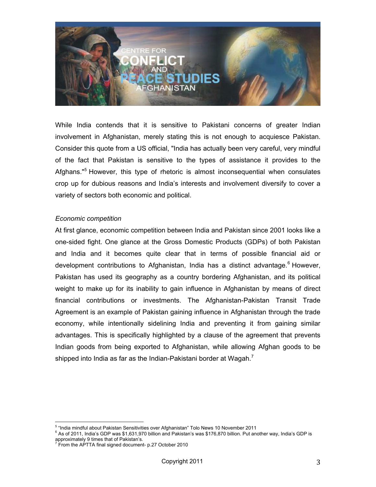

While India contends that it is sensitive to Pakistani concerns of greater Indian involvement in Afghanistan, merely stating this is not enough to acquiesce Pakistan. Consider this quote from a US official, "India has actually been very careful, very mindful of the fact that Pakistan is sensitive to the types of assistance it provides to the Afghans."<sup>5</sup> However, this type of rhetoric is almost inconsequential when consulates crop up for dubious reasons and India's interests and involvement diversify to cover a variety of sectors both economic and political.

## *Economic competition*

At first glance, economic competition between India and Pakistan since 2001 looks like a one-sided fight. One glance at the Gross Domestic Products (GDPs) of both Pakistan and India and it becomes quite clear that in terms of possible financial aid or development contributions to Afghanistan, India has a distinct advantage.<sup>6</sup> However, Pakistan has used its geography as a country bordering Afghanistan, and its political weight to make up for its inability to gain influence in Afghanistan by means of direct financial contributions or investments. The Afghanistan-Pakistan Transit Trade Agreement is an example of Pakistan gaining influence in Afghanistan through the trade economy, while intentionally sidelining India and preventing it from gaining similar advantages. This is specifically highlighted by a clause of the agreement that prevents Indian goods from being exported to Afghanistan, while allowing Afghan goods to be shipped into India as far as the Indian-Pakistani border at Wagah.<sup>7</sup>

ense Theodor Theodor Theodor Theodor<br>India mindful about Pakistan Sensitivities over Afghanistan" Tolo News 10 November 2011

<sup>6</sup> As of 2011, India's GDP was \$1,631,970 billion and Pakistan's was \$176,870 billion. Put another way, India's GDP is

approximately 9 times that of Pakistan's.<br><sup>7</sup> Fram the ABTTA final signed dequiper From the APTTA final signed document- p.27 October 2010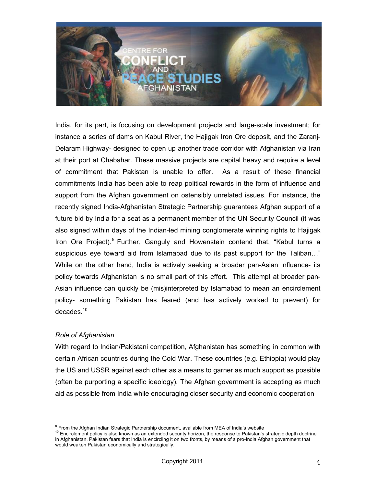

India, for its part, is focusing on development projects and large-scale investment; for instance a series of dams on Kabul River, the Hajigak Iron Ore deposit, and the Zaranj-Delaram Highway- designed to open up another trade corridor with Afghanistan via Iran at their port at Chabahar. These massive projects are capital heavy and require a level of commitment that Pakistan is unable to offer. As a result of these financial commitments India has been able to reap political rewards in the form of influence and support from the Afghan government on ostensibly unrelated issues. For instance, the recently signed India-Afghanistan Strategic Partnership guarantees Afghan support of a future bid by India for a seat as a permanent member of the UN Security Council (it was also signed within days of the Indian-led mining conglomerate winning rights to Hajigak Iron Ore Project). <sup>8</sup> Further, Ganguly and Howenstein contend that, "Kabul turns a suspicious eye toward aid from Islamabad due to its past support for the Taliban…" While on the other hand, India is actively seeking a broader pan-Asian influence- its policy towards Afghanistan is no small part of this effort. This attempt at broader pan-Asian influence can quickly be (mis)interpreted by Islamabad to mean an encirclement policy- something Pakistan has feared (and has actively worked to prevent) for decades.<sup>10</sup>

## *Role of Afghanistan*

With regard to Indian/Pakistani competition, Afghanistan has something in common with certain African countries during the Cold War. These countries (e.g. Ethiopia) would play the US and USSR against each other as a means to garner as much support as possible (often be purporting a specific ideology). The Afghan government is accepting as much aid as possible from India while encouraging closer security and economic cooperation

 $^8$  From the Afghan Indian Strategic Partnership document, available from MEA of India's website

<sup>&</sup>lt;sup>10</sup> Encirclement policy is also known as an extended security horizon, the response to Pakistan's strategic depth doctrine in Afghanistan. Pakistan fears that India is encircling it on two fronts, by means of a pro-India Afghan government that would weaken Pakistan economically and strategically.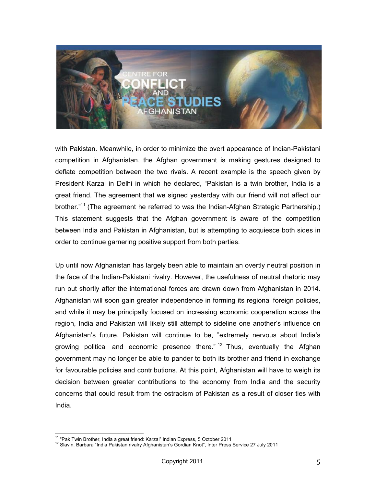

with Pakistan. Meanwhile, in order to minimize the overt appearance of Indian-Pakistani competition in Afghanistan, the Afghan government is making gestures designed to deflate competition between the two rivals. A recent example is the speech given by President Karzai in Delhi in which he declared, "Pakistan is a twin brother, India is a great friend. The agreement that we signed yesterday with our friend will not affect our brother."<sup>11</sup> (The agreement he referred to was the Indian-Afghan Strategic Partnership.) This statement suggests that the Afghan government is aware of the competition between India and Pakistan in Afghanistan, but is attempting to acquiesce both sides in order to continue garnering positive support from both parties.

Up until now Afghanistan has largely been able to maintain an overtly neutral position in the face of the Indian-Pakistani rivalry. However, the usefulness of neutral rhetoric may run out shortly after the international forces are drawn down from Afghanistan in 2014. Afghanistan will soon gain greater independence in forming its regional foreign policies, and while it may be principally focused on increasing economic cooperation across the region, India and Pakistan will likely still attempt to sideline one another's influence on Afghanistan's future. Pakistan will continue to be, "extremely nervous about India's growing political and economic presence there."  $12$  Thus, eventually the Afghan government may no longer be able to pander to both its brother and friend in exchange for favourable policies and contributions. At this point, Afghanistan will have to weigh its decision between greater contributions to the economy from India and the security concerns that could result from the ostracism of Pakistan as a result of closer ties with India.

<sup>&</sup>lt;sup>11</sup> "Pak Twin Brother, India a great friend: Karzai" Indian Express, 5 October 2011<br><sup>12</sup> Slavin, Barbara "India Pakistan rivalry Afghanistan's Gordian Knot", Inter Press Service 27 July 2011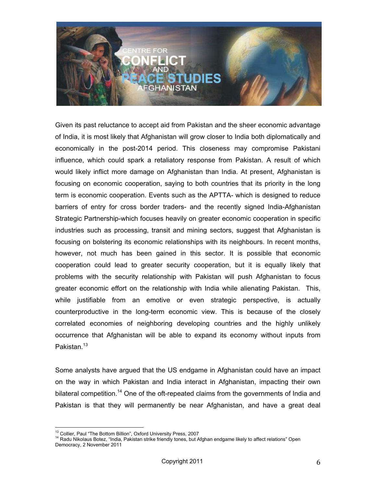

Given its past reluctance to accept aid from Pakistan and the sheer economic advantage of India, it is most likely that Afghanistan will grow closer to India both diplomatically and economically in the post-2014 period. This closeness may compromise Pakistani influence, which could spark a retaliatory response from Pakistan. A result of which would likely inflict more damage on Afghanistan than India. At present, Afghanistan is focusing on economic cooperation, saying to both countries that its priority in the long term is economic cooperation. Events such as the APTTA- which is designed to reduce barriers of entry for cross border traders- and the recently signed India-Afghanistan Strategic Partnership-which focuses heavily on greater economic cooperation in specific industries such as processing, transit and mining sectors, suggest that Afghanistan is focusing on bolstering its economic relationships with its neighbours. In recent months, however, not much has been gained in this sector. It is possible that economic cooperation could lead to greater security cooperation, but it is equally likely that problems with the security relationship with Pakistan will push Afghanistan to focus greater economic effort on the relationship with India while alienating Pakistan. This, while justifiable from an emotive or even strategic perspective, is actually counterproductive in the long-term economic view. This is because of the closely correlated economies of neighboring developing countries and the highly unlikely occurrence that Afghanistan will be able to expand its economy without inputs from Pakistan.<sup>13</sup>

Some analysts have argued that the US endgame in Afghanistan could have an impact on the way in which Pakistan and India interact in Afghanistan, impacting their own bilateral competition.<sup>14</sup> One of the oft-repeated claims from the governments of India and Pakistan is that they will permanently be near Afghanistan, and have a great deal

<sup>&</sup>lt;sup>13</sup> Collier, Paul "The Bottom Billion", Oxford University Press, 2007<br><sup>14</sup> Radu Nikolaus Botez, "India, Pakistan strike friendly tones, but Afghan endgame likely to affect relations" Open Democracy, 2 November 2011